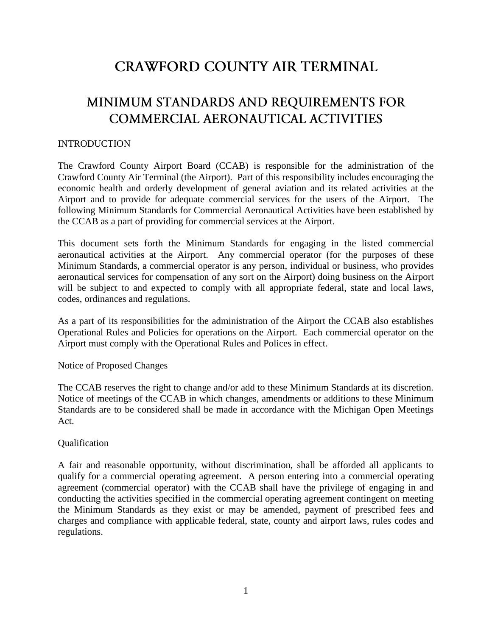# **CRAWFORD COUNTY AIR TERMINAL**

# MINIMUM STANDARDS AND REQUIREMENTS FOR COMMERCIAL AERONAUTICAL ACTIVITIES

### INTRODUCTION

The Crawford County Airport Board (CCAB) is responsible for the administration of the Crawford County Air Terminal (the Airport). Part of this responsibility includes encouraging the economic health and orderly development of general aviation and its related activities at the Airport and to provide for adequate commercial services for the users of the Airport. The following Minimum Standards for Commercial Aeronautical Activities have been established by the CCAB as a part of providing for commercial services at the Airport.

This document sets forth the Minimum Standards for engaging in the listed commercial aeronautical activities at the Airport. Any commercial operator (for the purposes of these Minimum Standards, a commercial operator is any person, individual or business, who provides aeronautical services for compensation of any sort on the Airport) doing business on the Airport will be subject to and expected to comply with all appropriate federal, state and local laws, codes, ordinances and regulations.

As a part of its responsibilities for the administration of the Airport the CCAB also establishes Operational Rules and Policies for operations on the Airport. Each commercial operator on the Airport must comply with the Operational Rules and Polices in effect.

Notice of Proposed Changes

The CCAB reserves the right to change and/or add to these Minimum Standards at its discretion. Notice of meetings of the CCAB in which changes, amendments or additions to these Minimum Standards are to be considered shall be made in accordance with the Michigan Open Meetings Act.

#### Qualification

A fair and reasonable opportunity, without discrimination, shall be afforded all applicants to qualify for a commercial operating agreement. A person entering into a commercial operating agreement (commercial operator) with the CCAB shall have the privilege of engaging in and conducting the activities specified in the commercial operating agreement contingent on meeting the Minimum Standards as they exist or may be amended, payment of prescribed fees and charges and compliance with applicable federal, state, county and airport laws, rules codes and regulations.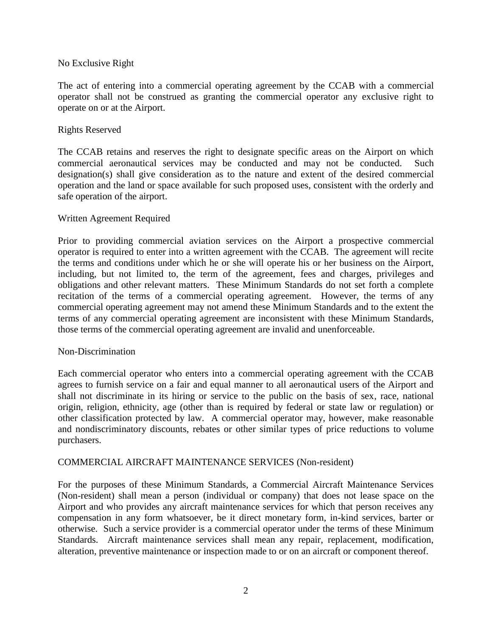#### No Exclusive Right

The act of entering into a commercial operating agreement by the CCAB with a commercial operator shall not be construed as granting the commercial operator any exclusive right to operate on or at the Airport.

#### Rights Reserved

The CCAB retains and reserves the right to designate specific areas on the Airport on which commercial aeronautical services may be conducted and may not be conducted. Such designation(s) shall give consideration as to the nature and extent of the desired commercial operation and the land or space available for such proposed uses, consistent with the orderly and safe operation of the airport.

#### Written Agreement Required

Prior to providing commercial aviation services on the Airport a prospective commercial operator is required to enter into a written agreement with the CCAB. The agreement will recite the terms and conditions under which he or she will operate his or her business on the Airport, including, but not limited to, the term of the agreement, fees and charges, privileges and obligations and other relevant matters. These Minimum Standards do not set forth a complete recitation of the terms of a commercial operating agreement. However, the terms of any commercial operating agreement may not amend these Minimum Standards and to the extent the terms of any commercial operating agreement are inconsistent with these Minimum Standards, those terms of the commercial operating agreement are invalid and unenforceable.

#### Non-Discrimination

Each commercial operator who enters into a commercial operating agreement with the CCAB agrees to furnish service on a fair and equal manner to all aeronautical users of the Airport and shall not discriminate in its hiring or service to the public on the basis of sex, race, national origin, religion, ethnicity, age (other than is required by federal or state law or regulation) or other classification protected by law. A commercial operator may, however, make reasonable and nondiscriminatory discounts, rebates or other similar types of price reductions to volume purchasers.

#### COMMERCIAL AIRCRAFT MAINTENANCE SERVICES (Non-resident)

For the purposes of these Minimum Standards, a Commercial Aircraft Maintenance Services (Non-resident) shall mean a person (individual or company) that does not lease space on the Airport and who provides any aircraft maintenance services for which that person receives any compensation in any form whatsoever, be it direct monetary form, in-kind services, barter or otherwise. Such a service provider is a commercial operator under the terms of these Minimum Standards. Aircraft maintenance services shall mean any repair, replacement, modification, alteration, preventive maintenance or inspection made to or on an aircraft or component thereof.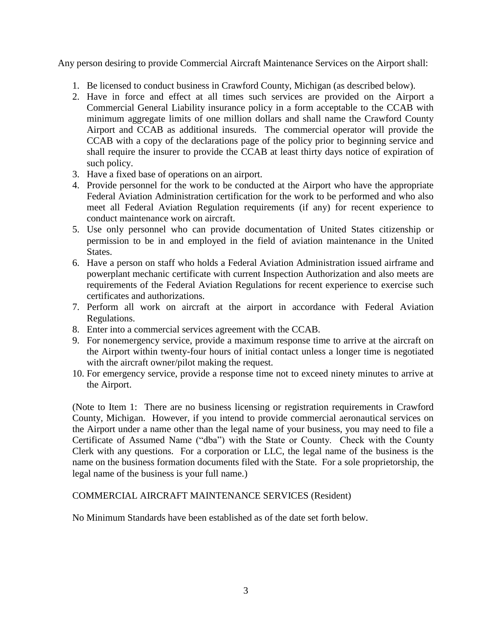Any person desiring to provide Commercial Aircraft Maintenance Services on the Airport shall:

- 1. Be licensed to conduct business in Crawford County, Michigan (as described below).
- 2. Have in force and effect at all times such services are provided on the Airport a Commercial General Liability insurance policy in a form acceptable to the CCAB with minimum aggregate limits of one million dollars and shall name the Crawford County Airport and CCAB as additional insureds. The commercial operator will provide the CCAB with a copy of the declarations page of the policy prior to beginning service and shall require the insurer to provide the CCAB at least thirty days notice of expiration of such policy.
- 3. Have a fixed base of operations on an airport.
- 4. Provide personnel for the work to be conducted at the Airport who have the appropriate Federal Aviation Administration certification for the work to be performed and who also meet all Federal Aviation Regulation requirements (if any) for recent experience to conduct maintenance work on aircraft.
- 5. Use only personnel who can provide documentation of United States citizenship or permission to be in and employed in the field of aviation maintenance in the United States.
- 6. Have a person on staff who holds a Federal Aviation Administration issued airframe and powerplant mechanic certificate with current Inspection Authorization and also meets are requirements of the Federal Aviation Regulations for recent experience to exercise such certificates and authorizations.
- 7. Perform all work on aircraft at the airport in accordance with Federal Aviation Regulations.
- 8. Enter into a commercial services agreement with the CCAB.
- 9. For nonemergency service, provide a maximum response time to arrive at the aircraft on the Airport within twenty-four hours of initial contact unless a longer time is negotiated with the aircraft owner/pilot making the request.
- 10. For emergency service, provide a response time not to exceed ninety minutes to arrive at the Airport.

(Note to Item 1: There are no business licensing or registration requirements in Crawford County, Michigan. However, if you intend to provide commercial aeronautical services on the Airport under a name other than the legal name of your business, you may need to file a Certificate of Assumed Name ("dba") with the State or County. Check with the County Clerk with any questions. For a corporation or LLC, the legal name of the business is the name on the business formation documents filed with the State. For a sole proprietorship, the legal name of the business is your full name.)

## COMMERCIAL AIRCRAFT MAINTENANCE SERVICES (Resident)

No Minimum Standards have been established as of the date set forth below.